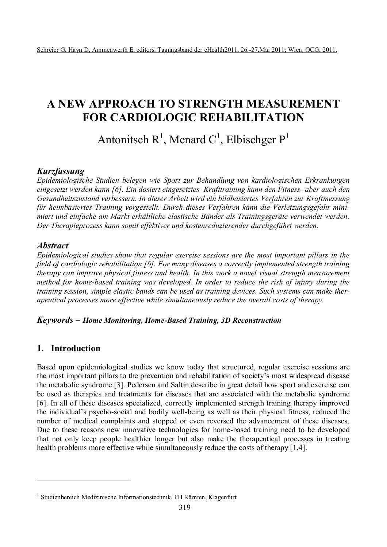# **A NEW APPROACH TO STRENGTH MEASUREMENT FOR CARDIOLOGIC REHABILITATION**

Antonitsch  $R^1$ , Menard C<sup>1</sup>, Elbischger P<sup>1</sup>

### *Kurzfassung*

*Epidemiologische Studien belegen wie Sport zur Behandlung von kardiologischen Erkrankungen eingesetzt werden kann [6]. Ein dosiert eingesetztes Krafttraining kann den Fitness- aber auch den Gesundheitszustand verbessern. In dieser Arbeit wird ein bildbasiertes Verfahren zur Kraftmessung für heimbasiertes Training vorgestellt. Durch dieses Verfahren kann die Verletzungsgefahr minimiert und einfache am Markt erhältliche elastische Bänder als Trainingsgeräte verwendet werden. Der Therapieprozess kann somit effektiver und kostenreduzierender durchgeführt werden.*

### *Abstract*

*Epidemiological studies show that regular exercise sessions are the most important pillars in the field of cardiologic rehabilitation [6]. For many diseases a correctly implemented strength training therapy can improve physical fitness and health. In this work a novel visual strength measurement method for home-based training was developed. In order to reduce the risk of injury during the training session, simple elastic bands can be used as training devices. Such systems can make therapeutical processes more effective while simultaneously reduce the overall costs of therapy.*

### *Keywords – Home Monitoring, Home-Based Training, 3D Reconstruction*

# **1. Introduction**

 $\overline{a}$ 

Based upon epidemiological studies we know today that structured, regular exercise sessions are the most important pillars to the prevention and rehabilitation of society's most widespread disease the metabolic syndrome [3]. Pedersen and Saltin describe in great detail how sport and exercise can be used as therapies and treatments for diseases that are associated with the metabolic syndrome [6]. In all of these diseases specialized, correctly implemented strength training therapy improved the individual's psycho-social and bodily well-being as well as their physical fitness, reduced the number of medical complaints and stopped or even reversed the advancement of these diseases. Due to these reasons new innovative technologies for home-based training need to be developed that not only keep people healthier longer but also make the therapeutical processes in treating health problems more effective while simultaneously reduce the costs of therapy [1,4].

<sup>&</sup>lt;sup>1</sup> Studienbereich Medizinische Informationstechnik, FH Kärnten, Klagenfurt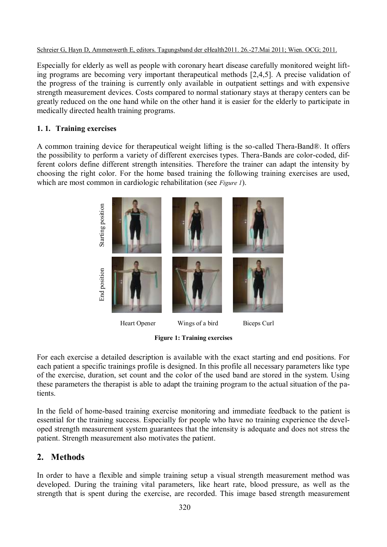Especially for elderly as well as people with coronary heart disease carefully monitored weight lifting programs are becoming very important therapeutical methods [2,4,5]. A precise validation of the progress of the training is currently only available in outpatient settings and with expensive strength measurement devices. Costs compared to normal stationary stays at therapy centers can be greatly reduced on the one hand while on the other hand it is easier for the elderly to participate in medically directed health training programs.

### **1. 1. Training exercises**

A common training device for therapeutical weight lifting is the so-called Thera-Band®. It offers the possibility to perform a variety of different exercises types. Thera-Bands are color-coded, different colors define different strength intensities. Therefore the trainer can adapt the intensity by choosing the right color. For the home based training the following training exercises are used, which are most common in cardiologic rehabilitation (see *Figure 1*).



**Figure 1: Training exercises**

For each exercise a detailed description is available with the exact starting and end positions. For each patient a specific trainings profile is designed. In this profile all necessary parameters like type of the exercise, duration, set count and the color of the used band are stored in the system. Using these parameters the therapist is able to adapt the training program to the actual situation of the patients.

In the field of home-based training exercise monitoring and immediate feedback to the patient is essential for the training success. Especially for people who have no training experience the developed strength measurement system guarantees that the intensity is adequate and does not stress the patient. Strength measurement also motivates the patient.

# **2. Methods**

In order to have a flexible and simple training setup a visual strength measurement method was developed. During the training vital parameters, like heart rate, blood pressure, as well as the strength that is spent during the exercise, are recorded. This image based strength measurement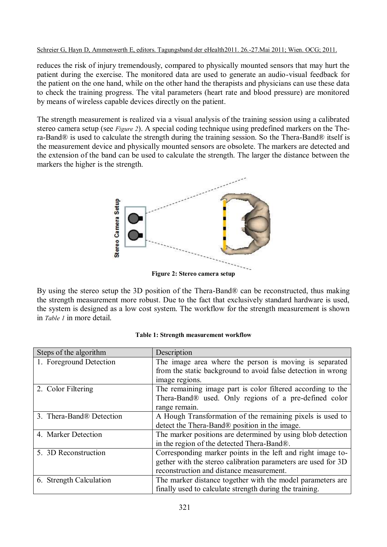reduces the risk of injury tremendously, compared to physically mounted sensors that may hurt the patient during the exercise. The monitored data are used to generate an audio-visual feedback for the patient on the one hand, while on the other hand the therapists and physicians can use these data to check the training progress. The vital parameters (heart rate and blood pressure) are monitored by means of wireless capable devices directly on the patient.

The strength measurement is realized via a visual analysis of the training session using a calibrated stereo camera setup (see *Figure 2*). A special coding technique using predefined markers on the Thera-Band® is used to calculate the strength during the training session. So the Thera-Band® itself is the measurement device and physically mounted sensors are obsolete. The markers are detected and the extension of the band can be used to calculate the strength. The larger the distance between the markers the higher is the strength.



By using the stereo setup the 3D position of the Thera-Band® can be reconstructed, thus making the strength measurement more robust. Due to the fact that exclusively standard hardware is used, the system is designed as a low cost system. The workflow for the strength measurement is shown in *Table 1* in more detail.

| Steps of the algorithm   | Description                                                   |
|--------------------------|---------------------------------------------------------------|
| 1. Foreground Detection  | The image area where the person is moving is separated        |
|                          | from the static background to avoid false detection in wrong  |
|                          | image regions.                                                |
| 2. Color Filtering       | The remaining image part is color filtered according to the   |
|                          | Thera-Band® used. Only regions of a pre-defined color         |
|                          | range remain.                                                 |
| 3. Thera-Band® Detection | A Hough Transformation of the remaining pixels is used to     |
|                          | detect the Thera-Band® position in the image.                 |
| 4. Marker Detection      | The marker positions are determined by using blob detection   |
|                          | in the region of the detected Thera-Band®.                    |
| 5. 3D Reconstruction     | Corresponding marker points in the left and right image to-   |
|                          | gether with the stereo calibration parameters are used for 3D |
|                          | reconstruction and distance measurement.                      |
| 6. Strength Calculation  | The marker distance together with the model parameters are    |
|                          | finally used to calculate strength during the training.       |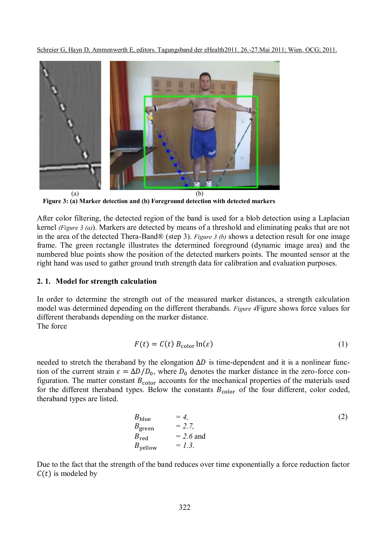

**Figure 3: (a) Marker detection and (b) Foreground detection with detected markers**

After color filtering, the detected region of the band is used for a blob detection using a Laplacian kernel *(Figure 3 (a)*). Markers are detected by means of a threshold and eliminating peaks that are not in the area of the detected Thera-Band® (step 3). *Figure 3 (b)* shows a detection result for one image frame. The green rectangle illustrates the determined foreground (dynamic image area) and the numbered blue points show the position of the detected markers points. The mounted sensor at the right hand was used to gather ground truth strength data for calibration and evaluation purposes.

#### <span id="page-3-0"></span>**2. 1. Model for strength calculation**

In order to determine the strength out of the measured marker distances, a strength calculation model was determined depending on the different therabands. *Figure 4*[Figure](#page-4-0) shows force values for different therabands depending on the marker distance. The force

$$
F(t) = C(t) B_{\text{color}} \ln(\varepsilon) \tag{1}
$$

needed to stretch the theraband by the elongation  $\Delta D$  is time-dependent and it is a nonlinear function of the current strain  $\varepsilon = \Delta D/D_0$ , where  $D_0$  denotes the marker distance in the zero-force configuration. The matter constant  $B_{\text{color}}$  accounts for the mechanical properties of the materials used for the different theraband types. Below the constants  $B_{\text{color}}$  of the four different, color coded, theraband types are listed.

$$
B_{blue} = 4,
$$
  
\n
$$
B_{green} = 2.7,
$$
  
\n
$$
B_{red} = 2.6 \text{ and}
$$
  
\n
$$
B_{yellow} = 1.3.
$$
 (2)

Due to the fact that the strength of the band reduces over time exponentially a force reduction factor  $C(t)$  is modeled by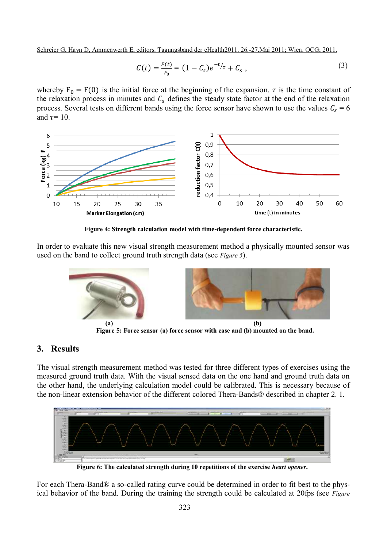$$
C(t) = \frac{F(t)}{F_0} = (1 - C_s)e^{-t/\tau} + C_s,
$$
\n(3)

whereby  $F_0 = F(0)$  is the initial force at the beginning of the expansion.  $\tau$  is the time constant of the relaxation process in minutes and  $C_s$  defines the steady state factor at the end of the relaxation process. Several tests on different bands using the force sensor have shown to use the values  $C_s = 6$ and  $\tau = 10$ .



**Figure 4: Strength calculation model with time-dependent force characteristic.**

<span id="page-4-0"></span>In order to evaluate this new visual strength measurement method a physically mounted sensor was used on the band to collect ground truth strength data (see *Figure 5*).



**Figure 5: Force sensor (a) force sensor with case and (b) mounted on the band.**

# **3. Results**

The visual strength measurement method was tested for three different types of exercises using the measured ground truth data. With the visual sensed data on the one hand and ground truth data on the other hand, the underlying calculation model could be calibrated. This is necessary because of the non-linear extension behavior of the different colored Thera-Bands® described in chapter [2. 1.](#page-3-0)



**Figure 6: The calculated strength during 10 repetitions of the exercise** *heart opener***.**

<span id="page-4-1"></span>For each Thera-Band® a so-called rating curve could be determined in order to fit best to the physical behavior of the band. During the training the strength could be calculated at 20fps (see *Figure*